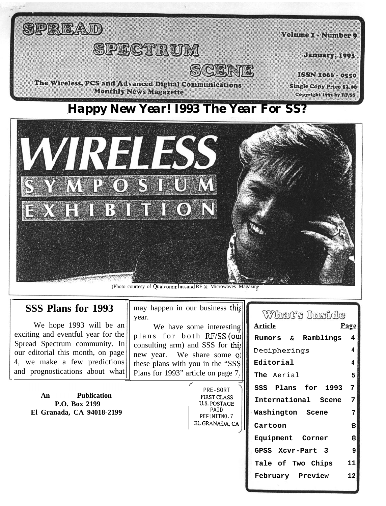

### *Happy New Year! I993 The Year For SS?*



#### **SSS Plans for 1993**

We hope 1993 will be an exciting and eventful year for the Spread Spectrum community. In our editorial this month, on page 4, we make a few predictions and prognostications about what

> An **Publication P.O. Box 2199 El Granada, CA 94018-2199** PAID

 $\frac{1}{\sqrt{2}}$ 

may happen in our business thi: year.

We have some interesting plans for both RF/SS (oui consulting arm) and SSS for this new year. We share some oj these plans with you in the "SSS Plans for 1993" article on page 7.

**Article Mand's** linside **Rumors & Ramblings 4 IZecipherings 4 Editorial 4 The** Aerial **5 SSS Plans for 1993 7 International Scene 7 Washington Scene 7 Cartoon 8 Equipment Corner 8 GPSS Xcvr-Part 3 9 Tale of Two Chips 11 February Preview 12**

..<br>( PRE-SORT FIRSTCLASS U.S.POSTAGE PEFtMITNO.7 ELGRANADA.CA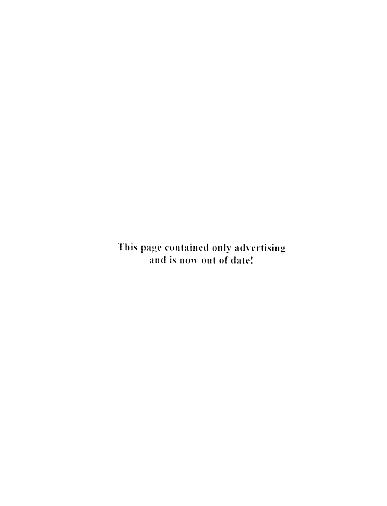This page contained only advertising and is now out of date!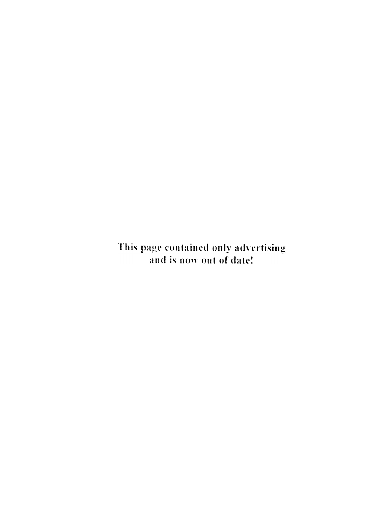This page contained only advertising and is now out of date!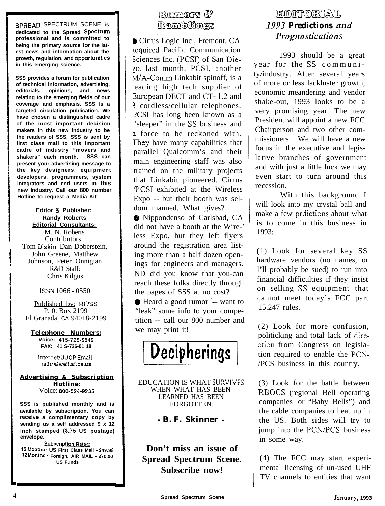**SPREAD** SPECTRUM SCENE **is dedicated to the Spread Spectrum professional and is committed to being the primary source for the latest news and information about the growth, regulation, and** OppOrtUnitieS **in this emerging science.**

**SSS provides a forum for publication of technical information, advertising, editorials, opinions, and news relating to the emerging fields of our coverage and emphasis. SSS Is a targeted circulation publication. We have chosen a distinguished cadre of the most important decision makers in this new industry to be the readers of SSS. SSS is sent by first class mail to this important cadre of industry "movers and shakers" each month. SSS can present your advertising message to the key designers, equipment developers, programmers, system integrators and end users in this new Industry. Call our 800 number Hotline to request a Media Kit**

**Editor & Publisher: Randy Roberts Editorial Consultants:** M. N. Roberts Contributors: Tom Diskin, Dan Doberstein, John Greene, Matthew Johnson, Peter Onnigian R&D Staff: Chris Kilgus

#### ISSN 1066 - 0550

Published by: RF/SS P. 0. Box 2199 El Granada, CA 94018-2199

**Telephone Numbers:** Voice: 415-726-6849 **FAX: 41 S-726-01 18**

**InternetNUCP Email: hithr@well.sf.ca.us**

#### **Advertising & Subscription Hotline:** Voice: **800-524-9285**

**SSS is published monthly and is available by subscription. You can receive a complimentary copy by sending us a self addressed 9 x 12 inch stamped (S.75 US postage) envelope.**

**Subscription Rates: 12 Months - US First Class Mail - \$49.95 12 Months - Foreign, AIR MAIL - ~70.00 US Funds**

#### Rumors & Ramblings

) Cirrus Logic Inc., Fremont, CA acquired Pacific Communication Sciences Inc. (PCSI) of San Die-\$0, last month. PCSI, another WA-Comm Linkabit spinoff, is a eading high tech supplier of European DECT and CT- 1,2 and <sup>3</sup> cordless/cellular telephones. ?CSI has long been known as a 'sleeper" in the SS business and a force to be reckoned with. They have many capabilities that **<sup>I</sup>** parallel Qualcomm's and their main engineering staff was also trained on the military projects that Linkabit pioneered. Cirrus PCS1 exhibited at the Wireless Expo -- but their booth was seldom manned. What gives?

@ Nippondenso of Carlsbad, CA did not have a booth at the Wire-' less Expo, but they left flyers around the registration area listing more than a half dozen openings for engineers and managers. ND did you know that you-can reach these folks directly through the pages of SSS at no cost?

8 Heard a good rumor .-- want to "leak" some info to your competition -- call our 800 number and we may print it!



EDUCATION IS WHAT SURVIVES WHEN WHAT HAS BEEN LEARNED HAS BEEN FORGOTTEN.

- **B. F. Skinner -**

**Don't miss an issue of Spread Spectrum Scene. Subscribe now!**

#### **EDHRORIAL** 1993 *Predictions and Prognosticntions*

1993 should be a great year for the SS community/industry. After several years of more or less lackluster growth, economic meandering and vendor shake-out, 1993 looks to be a very promising year. The new President will appoint a new FCC Chairperson and two other commissioners. We will have a new focus in the executive and legislative branches of government and with just a little luck we may even start to turn around this recession.

With this background I will look into my crystal ball and make a few prdictions about what is to come in this business in 1993:

(1) Look for several key SS hardware vendors (no names, or I'll probably be sued) to run into financial difficulties if they insist on selling SS equipment that cannot meet today's FCC part 15.247 rules.

(2) Look for more confusion, politicking and total lack of direction from Congress on legislation required to enable the PCN- /PCS business in this country.

(3) Look for the battle between RBOCS (regional Bell operating companies or "Baby Bells") and the cable companies to heat up in the US. Both sides will try to jump into the PCN/PCS business in some way.

(4) The FCC may start experimental licensing of un-used UHF TV channels to entities that want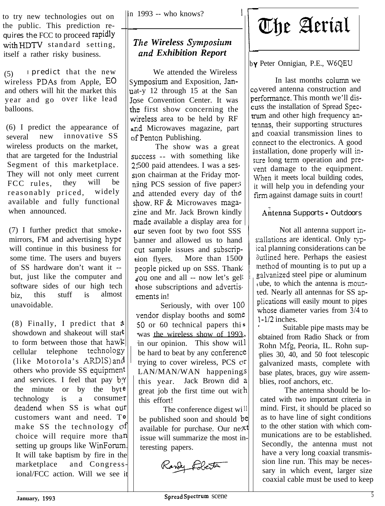to try new technologies out on the public. This prediction requires the FCC to proceed **rapidly** with **HDTV** standard setting, itself a rather risky business.

(5) <sup>I</sup>predict that the new wireless PDAs from Apple, EO and others will hit the market this year and go over like lead balloons.

(6) I predict the appearance of several new innovative SS wireless products on the market, that are targeted for the Industrial Segment of this marketplace. They will not only meet current FCC rules, they will be reasonably priced, widely available and fully functional when announced.

(7) I further predict that smoke mirrors, FM and advertising hype will continue in this business for some time. The users and buyers of SS hardware don't want it - but, just like the computer and software sides of our high tech<br>hiz this stuff is almost  $biz$ , this stuff is unavoidable.

 $(8)$  Finally, I predict that  $\mathfrak{a} \parallel \mathfrak{c}$ showdown and shakeout will star<sup>t</sup>|| . **; :** to form between those that hawk others who provide SS equipment cellular telephone technology i (like Motorola's ARDIS) am and services. I feel that pay  $b$ <sup>y</sup> the minute or by the byte technology is a consume:r deadend when SS is what our customers want and need. T**<sup>0</sup>** make SS the technology  $\mathcal{O}^f$ choice will require more than setting up groups like WinForum. It will take baptism by fire in the marketplace and Congressional/FCC action. Will we see it

in 1993 -- who knows? |<br>|-

### 7 *\*he Wireless Synzposirrnz and Exhibition Report*

Symposium and Exposition, Jan-**<sup>U</sup>**a t-y 12 through 15 at the San Jose Convention Center. It was the first show concerning the **V**vi ireless area to be held by RF **a**n id Microwaves magazine, part of Penton Publishing. We attended the Wireless

success -- with something like 2,500 paid attendees. I was a session chairman at the Friday morning PCS session of five paper: and attended every day of the **S?** low. RF & Microwaves maga**z:** ine and Mr. Jack Brown kindly made available a display area for **<sup>&</sup>gt; 0** ur seven foot by two foot SSS  $\leq$  || banner and allowed us to hand out sample issues and subscrip**t:**ion flyers. **F** beople picked up on SSS. Thank **4** 'ou one and all -- now let's gel **t** hose subscriptions and advertis ements in! The show was a great More than  $1500$ 

vendor display booths and some Seriously, with over 100 50 or 60 technical papers this  $\vert \vert$ , was the wireless show of 1993. in our opinion. This show will  $\vert \vert$ be hard to beat by any conferenc trying to cover wireless, PCS c<sup>r</sup> LAN/MAN/WAN happenings this year. Jack Brown did great job the first time out with this effort!

The conference digest will be published soon and should be available for purchase. Our ne: xt issue will summarize the most interesting papers.



b **Y** Peter Onnigian, P.E., W6QEU

0 vered antenna construction and erformance. This month we'll dis-:u ss the installation of Spread Specrum and other high frequency anennas, their supporting structures In d coaxial transmission lines to connect to the electronics. A good in stallation, done properly will in sure long term operation and prevent damage to the equipment. When it meets local building codes, it will help you in defending your firm against damage suits in court! In last months column we

#### Antenna Supports - Outdoors

stallations are identical. Only typical planning considerations can be 3 'utlined here. Perhaps the easiest n nethod of mounting is to put up a **0 =** galvanized steel pipe or aluminum **t** ube, to which the antenna is moun-**+** ed. Nearly all antennas for SS ap plications will easily mount to pipes **\** vhose diameter varies from 3/4 to  $\sim$  | | 1-1/2 inches. Not all antenna support in-

 $\epsilon$  | | plies 30, 40, and 50 foot telescopic Suitable pipe masts may be sbtained from Radio Shack or from Rohn Mfg, Peoria, IL. Rohn supgalvanized masts, complete with base plates, braces, guy wire assemblies, roof anchors, etc.

The antenna should be located with two important criteria in mind. First, it should be placed so as to have line of sight conditions to the other station with which communications are to be established. Secondly, the antenna must not have a very long coaxial transmission line run. This may be necessary in which event, larger size coaxial cable must be used to keep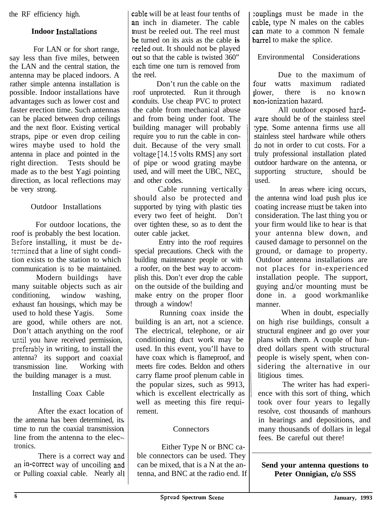the RF efficiency high.

#### **Indoor Installations**

For LAN or for short range, say less than five miles, between the LAN and the central station, the antenna may be placed indoors. A rather simple antenna installation is possible. Indoor installations have advantages such as lower cost and faster erection time. Such antennas can be placed between drop ceilings and the next floor. Existing vertical straps, pipe or even drop ceiling wires maybe used to hold the antenna in place and pointed in the right direction. Tests should be made as to the best Yagi pointing direction, as local reflections may be very strong.

#### Outdoor Installations

For outdoor locations, the roof is probably the best location. Sefore installing, it must be determined that a line of sight condition exists to the station to which communication is to be maintained.

Modern buildings have many suitable objects such as air conditioning, window washing, exhaust fan housings, which may be used to hold these Yagis. Some are good, while others are not. Don't attach anything on the roof until you have received permission, preferably in writing, to install the antenna? its support and coaxial transmission line. Working with the building manager is a must.

#### Installing Coax Cable

After the exact location of the antenna has been determined, its time to run the coaxial transmission line from the antenna to the electronics.

There is a correct way ant an **in-correct** way of uncoiling ant or Pulling coaxial cable. Nearly al

cable will be at least four tenths of an inch in diameter. The cable **I** )e turned on its axis as the cable **is** reeled out. It should not be played out so that the cable is twisted 360" each time one turn is removed from the reel. nust be reeled out. The reel must

1 roof unprotected. Run it through conduits. Use cheap PVC to protect 1 building manager will probably Don't run the cable on the the cable from mechanical abuse and from being under foot. The require you to run the cable in conduit. Because of the very small voltage [14.15 volts RMS] any sort of pipe or wood grating maybe used, and will meet the UBC, NEC, and other codes.

Cable running vertically should also be protected and supported by tying with plastic ties every two feet of height. Don't over tighten these, so as to dent the outer cable jacket.

Entry into the roof requires special precautions. Check with the building maintenance people or with a roofer, on the best way to accomplish this. Don't ever drop the cable on the outside of the building and make entry on the proper floor through a window!

Running coax inside the building is an art, not a science. The electrical, telephone, or air conditioning duct work may be used. In this event, you'll have to have coax which is flameproof, and meets fire codes. Beldon and others carry flame proof plenum cable in the popular sizes, such as 9913, which is excellent electrically as well as meeting this fire requirement.

#### **Connectors**

Either Type N or BNC cable connectors can be used. They can be mixed, that is a N at the antenna, and BNC at the radio end. If :ouplings must be made in the cable, type N males on the cables can mate to a common N female barrel to make the splice.

Environmental Considerations

Due to the maximum of four watts maximum radiated lower, there is no known ion-ionization hazard.

All outdoor exposed hardware should be of the stainless steel ype. Some antenna firms use all stainless steel hardware while others 30 not in order to cut costs. For a truly professional installation plated outdoor hardware on the antenna, or supporting structure, should be used.

In areas where icing occurs, the antenna wind load push plus ice coating increase niust be taken into consideration. The last thing you or your firm would like to hear is that your antenna blew down, and caused damage to personnel on the ground, or damage to property. Outdoor antenna installations are not places for in-experienced installation people. The support, guying and/or mounting must be done in. a good workmanlike manner.

When in doubt, especially on high rise buildings, consult a structural engineer and go over your plans with them. A couple of hundred dollars spent with structural people is wisely spent, when considering the alternative in our litigious times.

The writer has had experience with this sort of thing, which took over four years to legally resolve, cost thousands of manhours in hearings and depositions, and many thousands of dollars in legal fees. Be careful out there!

#### **Send your antenna questions to Peter Onnigian, c/o SSS**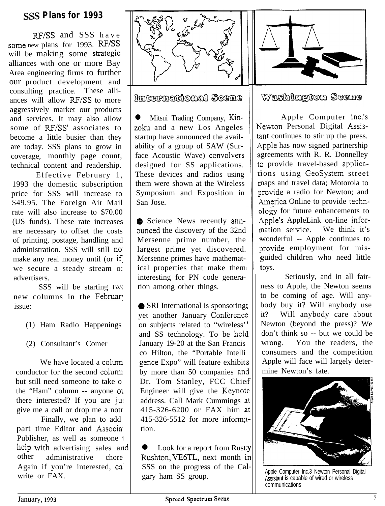#### **SSS Plans for 1993**

RF/SS and SSS have some new plans for 1993. RF/SS will be making some strategic alliances with one or more Bay Area engineering firms to further our product development and consulting practice. These alliances will allow RF/SS to more aggressively market our products and services. It may also allow some of RF/SS' associates to become a little busier than they are today. SSS plans to grow in coverage, monthly page count, technical content and readership.

Effective February 1, 1993 the domestic subscription price for SSS will increase to \$49.95. The Foreign Air Mail rate will also increase to \$70.00 (US funds). These rate increases are necessary to offset the costs of printing, postage, handling and administration. SSS will still no1 make any real money until (or if) we secure a steady stream o: advertisers.

SSS will be starting twc new columns in the February issue:

- (1) Ham Radio Happenings
- (2) Consultant's Comer

We have located a colum conductor for the second columr but still need someone to take o the "Ham" column -- anyone 01 there interested? If you are ju give me a call or drop me a notr

Finally, we plan to add part time Editor and Associal Publisher, as well as someone <sup>I</sup> help with advertising sales and<br>other administrative chore administrative chore Again if you're interested, ca' write or FAX.



International Scene

Mitsui Trading Company, Kinzoku and a new Los Angeles startup have announced the availability of a group of SAW (Surface Acoustic Wave) convolvers designed for SS applications. These devices and radios using them were shown at the Wireless Symposium and Exposition in San Jose.

@ Science News recently annaunced the discovery of the 32nd Mersenne prime number, the largest prime yet discovered. Mersenne primes have mathematical properties that make them interesting for PN code generation among other things.

• SRI International is sponsoring? yet another January Conference on subjects related to "wireless' and SS technology. To be held January 19-20 at the San Francis co Hilton, the "Portable Intelli gence Expo" will feature exhibit gence Expo will reature exhibits<br>by more than 50 companies and Dr. Tom Stanley, FCC Chief Engineer will give the Keynot e address. Call Mark Cummings at 415-326-6200 or FAX him at 415-326-5512 for more inform; L tion.

• Look for a report from Rusty Rushton, VE6TL, next month in SSS on the progress of the Ca lgary ham SS group.



Washington Scene

Apple Computer Inc.'s Newton Personal Digital Assistant continues to stir up the press. Apple has now signed partnership greements with R. R. Donnelley to provide travel-based applicaions using GeoSystem street naps and travel data; Motorola to provide a radio for Newton; and America Online to provide techn- $\partial \overrightarrow{Q}$  for future enhancements to Apple's AppleLink on-line infornation service. We think it's wonderful -- Apple continues to provide employment for misguided children who need little toys.

Seriously, and in all fairness to Apple, the Newton seems to be coming of age. Will anybody buy it? Will anybody use it? Will anybody care about Newton (beyond the press)? We don't think so -- but we could be wrong. You the readers, the consumers and the competition Apple will face will largely determine Newton's fate.



Apple Computer Inc.3 Newton Personal Digital Assistant is capable of wired or wireless communications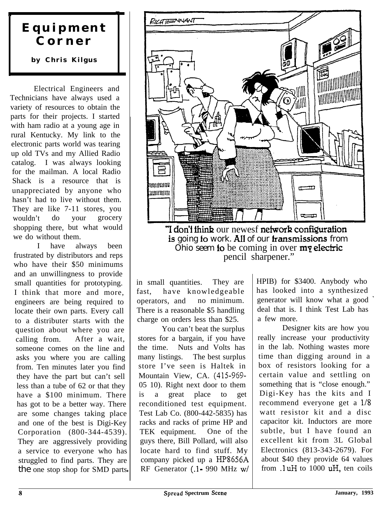### **Equipment Corner**

/

.

#### **by Chris Kilgus**

Electrical Engineers and Technicians have always used a variety of resources to obtain the parts for their projects. I started with ham radio at a young age in rural Kentucky. My link to the electronic parts world was tearing up old TVs and my Allied Radio catalog. I was always looking for the mailman. A local Radio Shack is a resource that is unappreciated by anyone who hasn't had to live without them. They are like 7-11 stores, you wouldn't do your grocery shopping there, but what would we do without them.

I have always been frustrated by distributors and reps who have their \$50 minimums and an unwillingness to provide small quantities for prototyping. I think that more and more, engineers are being required to locate their own parts. Every call to a distributer starts with the question about where you are calling from. After a wait, someone comes on the line and asks you where you are calling from. Ten minutes later you find they have the part but can't sell less than a tube of 62 or that they have a \$100 minimum. There has got to be a better way. There are some changes taking place and one of the best is Digi-Key Corporation (800-344-4539). They are aggressively providing a service to everyone who has struggled to find parts. They are the one stop shop for SMD parts,



"I don't think our newesf network configuration is going to work. All of our **transmissions** from Ohio seem to be coming in over  $m\bar{y}$  electric pencil sharpener."

There is a reasonable \$5 handling charge on orders less than \$25. a few more.<br>
You can't beat the surplus Designer kits are how you

You can't beat the surplus stores for a bargain, if you have  $\parallel$  really increase your productivity the time. Nuts and Volts has in the lab. Nothing wastes more many listings. The best surplus  $\parallel$  time than digging around in a store I've seen is Haltek in  $\vert$  box of resistors looking for a Mountain View, CA. (415-969- certain value and settling on 05 10). Right next door to them something that is "close enough." 05 10). Right next door to them is a great place to get Digi-Key has the kits and I racks and racks of prime HP and RF Generator  $(.1 - 990$  MHz w/

in small quantities. They are HPIB) for \$3400. Anybody who fast, have knowledgeable has looked into a synthesized operators, and no minimum. generator will know what a good<br>There is a reasonable \$5 handling deal that is. I think Test Lab has

reconditioned test equipment. recommend everyone get a  $1/8$ <br>Test Lab Co. (800-442-5835) has watt resistor kit and a disc Test Lab Co. (800-442-5835) has watt resistor kit and a disc<br>racks and racks of prime HP and capacitor kit. Inductors are more TEK equipment. One of the subtle, but I have found an guys there, Bill Pollard, will also  $\vert$  excellent kit from 3L Global locate hard to find stuff. My Electronics  $(813-343-2679)$ . For company picked up a HP8656A about \$40 they provide 64 values<br>RF Generator (1-990 MHz w/ from .1uH to 1000 uH, ten coils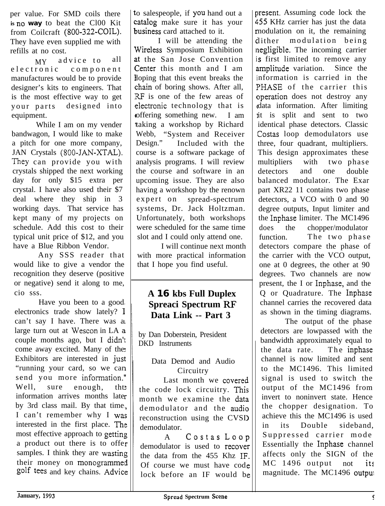per value. For SMD coils there **is no way** to beat the Cl00 Kit from Coilcraft (800-322~COIL). They have even supplied me with refills at no cost.

MY advice to all<br>electronic component component manufactures would be to provide designer's kits to engineers. That is the most effective way to get your parts designed into equipment.

While I am on my vender bandwagon, I would like to make a pitch for one more company, JAN Crystals (800-JAN-XTAL). They can provide you with crystals shipped the next working day for only \$15 extra per crystal. I have also used their \$7 deal where they ship in 3 working days. That service has kept many of my projects on schedule. Add this cost to their typical unit price of \$12, and you have a Blue Ribbon Vendor.

Any SSS reader that would like to give a vendor the recognition they deserve (positive or negative) send it along to me, cio sss.

Have you been to a good electronics trade show lately? I can't say I have. There was a large turn out at Wescon in LA a couple months ago, but I didn't come away excited. Many of the Exhibitors are interested in *jus* "running your card, so we car send you more information.' Well, sure enough, the information arrives months late by 3rd class mail. By that time I can't remember why I was interested in the first place. The most effective approach to getting a product out there is to offe samples. I think they are wasting their money on monogrammel golf tees and key chains. Advic

t o salespeople, if you hand out a business card attached to it. catalog make sure it has your

Wireless Symposium Exhibition at the San Jose Convention Center this month and I am 1 loping that this event breaks the RF is one of the few areas of electronic technology that is ( offering something new. I am 1 taking a workshop by Richard I will be attending the chain of boring shows. After all, Webb, "System and Receiver Design." Included with the course is a software package of analysis programs. I will review the course and software in an upcoming issue. They are also having a workshop by the renown expert on spread-spectrum systems, Dr. Jack Holtzman. Unfortunately, both workshops were scheduled for the same time slot and I could only attend one.

I will continue next month with more practical information that I hope you find useful.

### **A 16 kbs Full Duplex Spreaci Spectrum RF Data Link -- Part 3**

by Dan Doberstein, President DKD Instruments

#### Data Demod and Audio **Circuitry**

Last month we covered the code lock circuitry. This month we examine the data demodulator and the audio reconstruction using the CVSI demodulator.

A Costas Loop demodulator is used to recover the data from the  $455$  Khz IF Of course we must have cod lock before an IF would b

i ,55 KHz carrier has just the data r nodulation on it, the remaining dither modulation being r negligible. The incoming carrier i s first limited to remove any amplitude variation. Since the i nformation is carried in the PHASE of the carrier this ( operation does not destroy any ( data information. After limiting I it is split and sent to two present. Assuming code lock the identical phase detectors. Classic Costas loop demodulators use three, four quadrant, multipliers. This design approximates these multipliers with two phase detectors and one double balanced modulator. The Exar part XR22 11 contains two phase detectors, a VCO with 0 and 90 degree outputs, Input limiter and the Inphase limiter. The MC1496 does the chopper/modulator function. The two phase detectors compare the phase of the carrier with the VCO output, one at 0 degrees, the other at 90 degrees. Two channels are now present, the I or Inphase, and the Q or Quadrature. The Inphase channel carries the recovered data as shown in the timing diagrams.

The output of the phase detectors are lowpassed with the bandwidth approximately equal to the data rate. The inphase channel is now limited and sent to the MC1496. This limited signal is used to switch the output of the MC1496 from invert to noninvert state. Hence the chopper designation. To achieve this the MC1496 is used in its Double sideband, Suppressed carrier mode Essentially the Inphase channel affects only the SIGN of the MC 1496 output not its magnitude. The MC1496 outpu: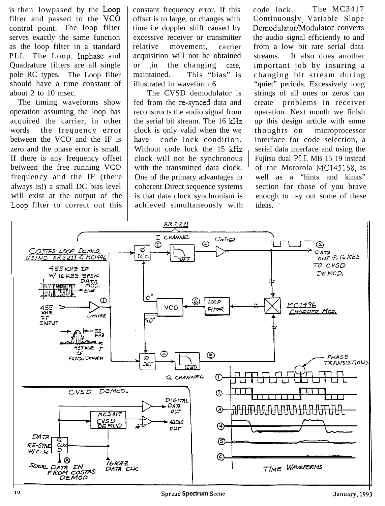is then lowpased by the Loop filter and passed to the **VCO** control point. The loop filter serves exactly the same function as the loop filter in a standard PLL. The Loop, Inphase and Quadrature filters are all single pole RC types. The Loop filter should have a time constant of about 2 to 10 msec.

The timing waveforms show operation assuming the loop has acquired the carrier, in other words the frequency error between the VCO and the IF is zero and the phase error is small. If there is any frequency offset between the free running VCO frequency and the IF (there always is!) a small DC bias level will exist at the output of the Loop filter to correct out this

constant frequency error. If this offset is to large, or changes with time i.e doppler shift caused by excessive receiver or transmitter relative movement, carrier acquisition will not be obtained or ,in the changing case, maintained. This "bias" is illustrated in waveform 6.

The CVSD demodulator is fed from the re-synced data and reconstructs the audio signal from the serial bit stream. The 16 kHz clock is only valid when the we have code lock condition. Without code lock the 15 kHz clock will not be synchronous with the transmitted data clock. One of the primary advantages to coherent Direct sequence systems is that data clock synchronism is achieved simultaneously with code lock. Continuously Variable Slope Demodulator/Modulator converts the audio signal efficiently to and from a low bit rate serial data streams. It also does another important job by insuring a changing bit stream during "quiet" periods. Excessively long strings of all ones or zeros can create problems in receiver operation. Next month we finish up this design article with some thoughts on microprocessor interface for code selection, a serial data interface and using the Fujitsu dual PLL MB 15 19 instead of the Motorola MC145168, as well as a "hints and kinks" section for those of you brave enough to n-y out some of these - The MC3417 ideas.

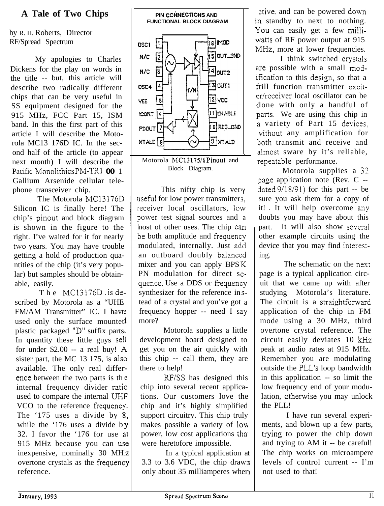### **A Tale of Two Chips**

by R. H. Roberts, Director RF/Spread Spectrum

My apologies to Charles Dickens for the play on words in the title -- but, this article will describe two radically different chips that can be very useful in SS equipment designed for the 915 MHz, FCC Part 15, ISM band. In this the first part of this article I will describe the Motorola MC13 176D IC. In the second half of the article (to appear next month) I will describe the Pacific Monolithics PM-TRl **00** 1 Gallium Arsenide cellular telephone transceiver chip.

The Motorola MC13176D Silicon IC is finally here! The chip's pinout and block diagram is shown in the figure to the right. I've waited for it for nearly two years. You may have trouble getting a hold of production quantities of the chip (it's very popular) but samples should be obtainable, easily.

The MCl3176D -is de. scribed by Motorola as a "UHE FM/AM Transmitter" IC. I havt used only the surface mountet plastic packaged "D" suffix parts In quantity these little guys sell for under  $$2.00 - a$  real buy! A sister part, the MC 13 175, is also available. The only real differ ence between the two parts is th e internal frequency divider ratio used to compare the internal UHF VCO to the reference frequency. The '175 uses a divide by  $8$ , while the '176 uses a divide b Y 32. I favor the  $176$  for use at 915 MHz because you can use inexpensive, nominally 30 MH [z overtone crystals as the frequency reference.



This nifty chip is ver<sup>ly</sup> useful for low power transmitter S, eceiver local oscillators, low power test signal sources and a nost of other uses. The chip can be both amplitude and frequency modulated, internally. Just add an outboard doubly balanced mixer and you can apply BPS K PN modulation for direct s equence. Use a DDS or frequency synthesizer for the reference in stead of a crystal and you've got a frequency hopper -- need I say more?

Motorola supplies a little development board designed to get you on the air quickly with this chip -- call them, they are there to help!

RF/SS has designed this chip into several recent applications. Our customers love the chip and it's highly simplified support circuitry. This chip truly makes possible a variety of 10% power, low cost applications thai were heretofore impossible.

In a typical application a 3.3 to 3.6 VDC, the chip draw: only about 35 milliamperes wher

ctive, and can be powered down in standby to next to nothing. You can easily get a few milliwatts of RF power output at 915 MHz, more at lower frequencies.

are possible with a small mod-I think switched crystals ification to this design, so that a till function transmitter excir er/receiver local oscillator can be lone with only a handful of parts. We are using this chip in a variety of Part 15 devices. without any amplification for both transmit and receive and almost sware by it's reliable, repeatable performance.

1 Motorola supplies a 32 page application note (Rev. C -dated  $9/18/91$ ) for this part -- be sure you ask them for a copy of it! It will help overcome any doubts you may have about this part. It will also show several other example circuits using the device that you may find interes: ing.

The schematic on the next page is a typical application circuit that we came up with after studying Motorola's literature. The circuit is a straightforward application of the chip in FM mode using a 30 MHz, third overtone crystal reference. The circuit easily deviates 10 kHz peak at audio rates at 915 MHz. Remember you are modulating outside the PLL's loop bandwidth in this application -- so limit the low frequency end of your modulation, otherwise you may unlock the PLL!

I have run several experiments, and blown up a few parts, trying to power the chip down and trying to AM it -- be careful! The chip works on microampere levels of control current -- I'm not used to that!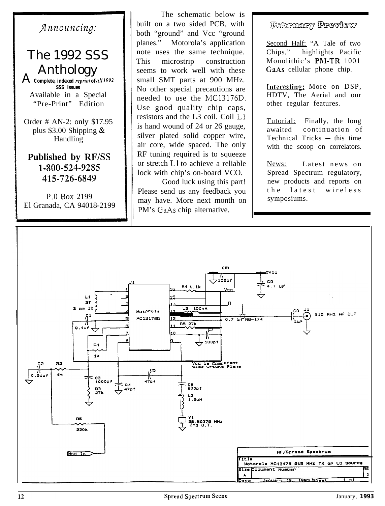### *Jnnouncing:*

# The 1992 SSS Anthology <sup>A</sup>*Complete, indexed reprirll of uI1 <sup>1992</sup>*

*SSS issues* Available in a Special "Pre-Print" Edition

Order # AN-2: only \$17.95 plus  $$3.00$  Shipping & Handling

**Published by RF/SS 1-500-524-9255 415-726-6849**

 $P.0$  Box 2199 El Granada, CA 94018-2199

The schematic below is built on a two sided PCB, with both "ground" and Vcc "ground planes." Motorola's application note uses the same technique. This microstrip construction seems to work well with these small SMT parts at 900 MHz. No other special precautions are needed to use the MC13176D. Use good quality chip caps, resistors and the L3 coil. Coil Ll is hand wound of 24 or 26 gauge, silver plated solid copper wire, air core, wide spaced. The only RF tuning required is to squeeze or stretch Ll to achieve a reliable lock with chip's on-board VCO.

Good luck using this part! Please send us any feedback you may have. More next month on PM's GaAs chip alternative.

#### February Preview

Second Half; "A Tale of two Chips," highlights Pacific Monolithic's PM-TR 1001 GaAs cellular phone chip.

Interesting: More on DSP, HDTV, The Aerial and our other regular features.

Tutorial: Finally, the long awaited continuation of Technical Tricks - this time with the scoop on correlators.

News: Latest news on Spread Spectrum regulatory, new products and reports on the latest wireless symposiums.